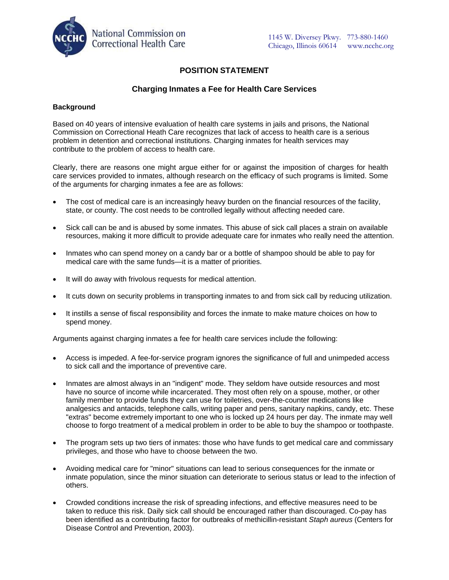

# **POSITION STATEMENT**

## **Charging Inmates a Fee for Health Care Services**

### **Background**

Based on 40 years of intensive evaluation of health care systems in jails and prisons, the National Commission on Correctional Heath Care recognizes that lack of access to health care is a serious problem in detention and correctional institutions. Charging inmates for health services may contribute to the problem of access to health care.

Clearly, there are reasons one might argue either for or against the imposition of charges for health care services provided to inmates, although research on the efficacy of such programs is limited. Some of the arguments for charging inmates a fee are as follows:

- The cost of medical care is an increasingly heavy burden on the financial resources of the facility, state, or county. The cost needs to be controlled legally without affecting needed care.
- Sick call can be and is abused by some inmates. This abuse of sick call places a strain on available resources, making it more difficult to provide adequate care for inmates who really need the attention.
- Inmates who can spend money on a candy bar or a bottle of shampoo should be able to pay for medical care with the same funds—it is a matter of priorities.
- It will do away with frivolous requests for medical attention.
- It cuts down on security problems in transporting inmates to and from sick call by reducing utilization.
- It instills a sense of fiscal responsibility and forces the inmate to make mature choices on how to spend money.

Arguments against charging inmates a fee for health care services include the following:

- Access is impeded. A fee-for-service program ignores the significance of full and unimpeded access to sick call and the importance of preventive care.
- Inmates are almost always in an "indigent" mode. They seldom have outside resources and most have no source of income while incarcerated. They most often rely on a spouse, mother, or other family member to provide funds they can use for toiletries, over-the-counter medications like analgesics and antacids, telephone calls, writing paper and pens, sanitary napkins, candy, etc. These "extras" become extremely important to one who is locked up 24 hours per day. The inmate may well choose to forgo treatment of a medical problem in order to be able to buy the shampoo or toothpaste.
- The program sets up two tiers of inmates: those who have funds to get medical care and commissary privileges, and those who have to choose between the two.
- Avoiding medical care for "minor" situations can lead to serious consequences for the inmate or inmate population, since the minor situation can deteriorate to serious status or lead to the infection of others.
- Crowded conditions increase the risk of spreading infections, and effective measures need to be taken to reduce this risk. Daily sick call should be encouraged rather than discouraged. Co-pay has been identified as a contributing factor for outbreaks of methicillin-resistant *Staph aureus* (Centers for Disease Control and Prevention, 2003).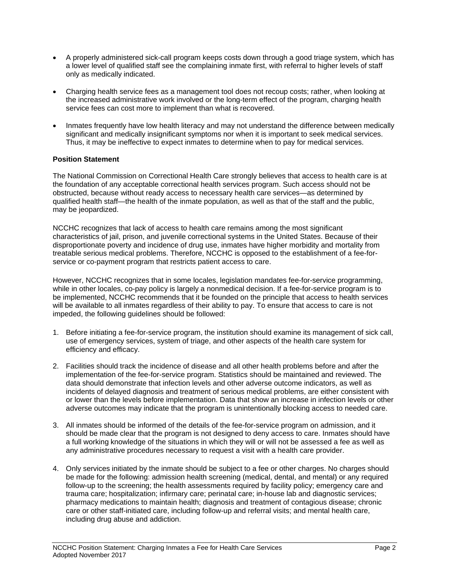- A properly administered sick-call program keeps costs down through a good triage system, which has a lower level of qualified staff see the complaining inmate first, with referral to higher levels of staff only as medically indicated.
- Charging health service fees as a management tool does not recoup costs; rather, when looking at the increased administrative work involved or the long-term effect of the program, charging health service fees can cost more to implement than what is recovered.
- Inmates frequently have low health literacy and may not understand the difference between medically significant and medically insignificant symptoms nor when it is important to seek medical services. Thus, it may be ineffective to expect inmates to determine when to pay for medical services.

## **Position Statement**

The National Commission on Correctional Health Care strongly believes that access to health care is at the foundation of any acceptable correctional health services program. Such access should not be obstructed, because without ready access to necessary health care services—as determined by qualified health staff—the health of the inmate population, as well as that of the staff and the public, may be jeopardized.

NCCHC recognizes that lack of access to health care remains among the most significant characteristics of jail, prison, and juvenile correctional systems in the United States. Because of their disproportionate poverty and incidence of drug use, inmates have higher morbidity and mortality from treatable serious medical problems. Therefore, NCCHC is opposed to the establishment of a fee-forservice or co-payment program that restricts patient access to care.

However, NCCHC recognizes that in some locales, legislation mandates fee-for-service programming, while in other locales, co-pay policy is largely a nonmedical decision. If a fee-for-service program is to be implemented, NCCHC recommends that it be founded on the principle that access to health services will be available to all inmates regardless of their ability to pay. To ensure that access to care is not impeded, the following guidelines should be followed:

- 1. Before initiating a fee-for-service program, the institution should examine its management of sick call, use of emergency services, system of triage, and other aspects of the health care system for efficiency and efficacy.
- 2. Facilities should track the incidence of disease and all other health problems before and after the implementation of the fee-for-service program. Statistics should be maintained and reviewed. The data should demonstrate that infection levels and other adverse outcome indicators, as well as incidents of delayed diagnosis and treatment of serious medical problems, are either consistent with or lower than the levels before implementation. Data that show an increase in infection levels or other adverse outcomes may indicate that the program is unintentionally blocking access to needed care.
- 3. All inmates should be informed of the details of the fee-for-service program on admission, and it should be made clear that the program is not designed to deny access to care. Inmates should have a full working knowledge of the situations in which they will or will not be assessed a fee as well as any administrative procedures necessary to request a visit with a health care provider.
- 4. Only services initiated by the inmate should be subject to a fee or other charges. No charges should be made for the following: admission health screening (medical, dental, and mental) or any required follow-up to the screening; the health assessments required by facility policy; emergency care and trauma care; hospitalization; infirmary care; perinatal care; in-house lab and diagnostic services; pharmacy medications to maintain health; diagnosis and treatment of contagious disease; chronic care or other staff-initiated care, including follow-up and referral visits; and mental health care, including drug abuse and addiction.